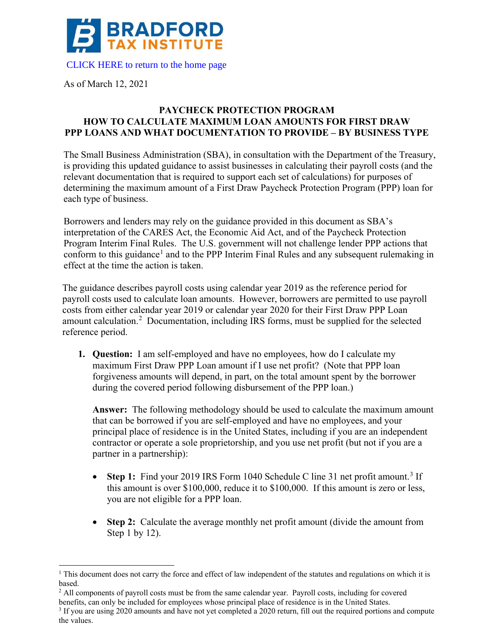

As of March 12, 2021

## **PAYCHECK PROTECTION PROGRAM HOW TO CALCULATE MAXIMUM LOAN AMOUNTS FOR FIRST DRAW PPP LOANS AND WHAT DOCUMENTATION TO PROVIDE – BY BUSINESS TYPE**

The Small Business Administration (SBA), in consultation with the Department of the Treasury, is providing this updated guidance to assist businesses in calculating their payroll costs (and the relevant documentation that is required to support each set of calculations) for purposes of determining the maximum amount of a First Draw Paycheck Protection Program (PPP) loan for each type of business.

Borrowers and lenders may rely on the guidance provided in this document as SBA's interpretation of the CARES Act, the Economic Aid Act, and of the Paycheck Protection Program Interim Final Rules. The U.S. government will not challenge lender PPP actions that conform to this guidance<sup>1</sup> and to the PPP Interim Final Rules and any subsequent rulemaking in effect at the time the action is taken.

The guidance describes payroll costs using calendar year 2019 as the reference period for payroll costs used to calculate loan amounts. However, borrowers are permitted to use payroll costs from either calendar year 2019 or calendar year 2020 for their First Draw PPP Loan amount calculation.<sup>2</sup> Documentation, including IRS forms, must be supplied for the selected reference period.

**1. Question:** I am self-employed and have no employees, how do I calculate my maximum First Draw PPP Loan amount if I use net profit? (Note that PPP loan forgiveness amounts will depend, in part, on the total amount spent by the borrower during the covered period following disbursement of the PPP loan.)

**Answer:** The following methodology should be used to calculate the maximum amount that can be borrowed if you are self-employed and have no employees, and your principal place of residence is in the United States, including if you are an independent contractor or operate a sole proprietorship, and you use net profit (but not if you are a partner in a partnership):

- **Step 1:** Find your 2019 IRS Form 1040 Schedule C line 31 net profit amount.<sup>3</sup> If this amount is over \$100,000, reduce it to \$100,000. If this amount is zero or less, you are not eligible for a PPP loan.
- **Step 2:** Calculate the average monthly net profit amount (divide the amount from Step 1 by 12).

<sup>&</sup>lt;sup>1</sup> This document does not carry the force and effect of law independent of the statutes and regulations on which it is based.

<sup>&</sup>lt;sup>2</sup> All components of payroll costs must be from the same calendar year. Payroll costs, including for covered benefits, can only be included for employees whose principal place of residence is in the United States.

 $3$  If you are using 2020 amounts and have not yet completed a 2020 return, fill out the required portions and compute the values.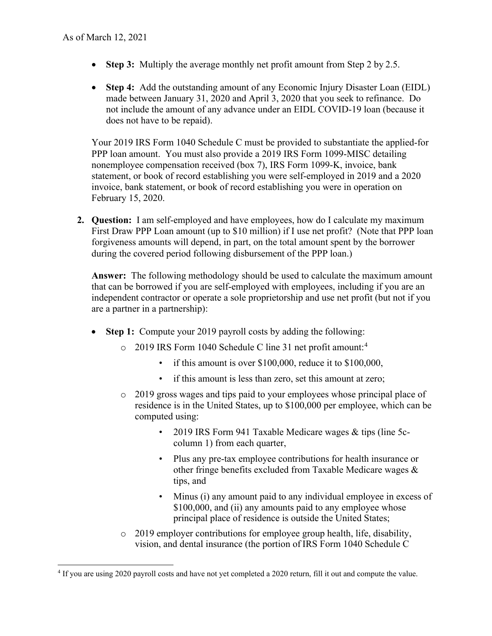- **Step 3:** Multiply the average monthly net profit amount from Step 2 by 2.5.
- **Step 4:** Add the outstanding amount of any Economic Injury Disaster Loan (EIDL) made between January 31, 2020 and April 3, 2020 that you seek to refinance. Do not include the amount of any advance under an EIDL COVID-19 loan (because it does not have to be repaid).

Your 2019 IRS Form 1040 Schedule C must be provided to substantiate the applied-for PPP loan amount. You must also provide a 2019 IRS Form 1099-MISC detailing nonemployee compensation received (box 7), IRS Form 1099-K, invoice, bank statement, or book of record establishing you were self-employed in 2019 and a 2020 invoice, bank statement, or book of record establishing you were in operation on February 15, 2020.

**2. Question:** I am self-employed and have employees, how do I calculate my maximum First Draw PPP Loan amount (up to \$10 million) if I use net profit? (Note that PPP loan forgiveness amounts will depend, in part, on the total amount spent by the borrower during the covered period following disbursement of the PPP loan.)

**Answer:** The following methodology should be used to calculate the maximum amount that can be borrowed if you are self-employed with employees, including if you are an independent contractor or operate a sole proprietorship and use net profit (but not if you are a partner in a partnership):

- **Step 1:** Compute your 2019 payroll costs by adding the following:
	- $\circ$  2019 IRS Form 1040 Schedule C line 31 net profit amount:<sup>4</sup>
		- if this amount is over \$100,000, reduce it to \$100,000,
		- if this amount is less than zero, set this amount at zero;
	- $\circ$  2019 gross wages and tips paid to your employees whose principal place of residence is in the United States, up to \$100,000 per employee, which can be computed using:
		- 2019 IRS Form 941 Taxable Medicare wages & tips (line 5ccolumn 1) from each quarter,
		- Plus any pre-tax employee contributions for health insurance or other fringe benefits excluded from Taxable Medicare wages & tips, and
		- Minus (i) any amount paid to any individual employee in excess of \$100,000, and (ii) any amounts paid to any employee whose principal place of residence is outside the United States;
	- o 2019 employer contributions for employee group health, life, disability, vision, and dental insurance (the portion of IRS Form 1040 Schedule C

<sup>&</sup>lt;sup>4</sup> If you are using 2020 payroll costs and have not yet completed a 2020 return, fill it out and compute the value.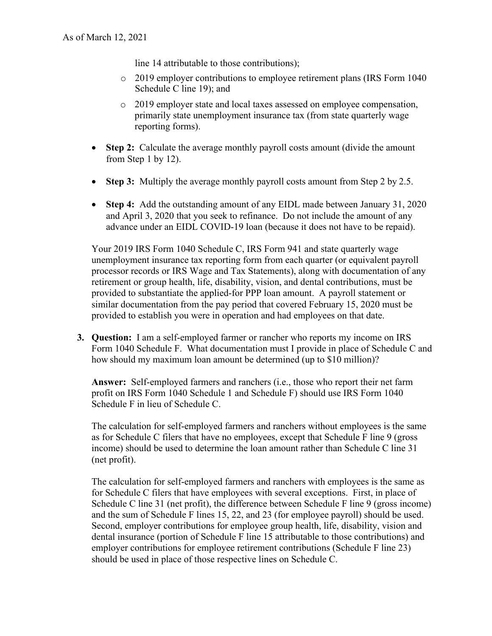line 14 attributable to those contributions);

- o 2019 employer contributions to employee retirement plans (IRS Form 1040 Schedule C line 19); and
- o 2019 employer state and local taxes assessed on employee compensation, primarily state unemployment insurance tax (from state quarterly wage reporting forms).
- **Step 2:** Calculate the average monthly payroll costs amount (divide the amount from Step 1 by 12).
- **Step 3:** Multiply the average monthly payroll costs amount from Step 2 by 2.5.
- **Step 4:** Add the outstanding amount of any EIDL made between January 31, 2020 and April 3, 2020 that you seek to refinance. Do not include the amount of any advance under an EIDL COVID-19 loan (because it does not have to be repaid).

Your 2019 IRS Form 1040 Schedule C, IRS Form 941 and state quarterly wage unemployment insurance tax reporting form from each quarter (or equivalent payroll processor records or IRS Wage and Tax Statements), along with documentation of any retirement or group health, life, disability, vision, and dental contributions, must be provided to substantiate the applied-for PPP loan amount. A payroll statement or similar documentation from the pay period that covered February 15, 2020 must be provided to establish you were in operation and had employees on that date.

**3. Question:** I am a self-employed farmer or rancher who reports my income on IRS Form 1040 Schedule F. What documentation must I provide in place of Schedule C and how should my maximum loan amount be determined (up to \$10 million)?

**Answer:** Self-employed farmers and ranchers (i.e., those who report their net farm profit on IRS Form 1040 Schedule 1 and Schedule F) should use IRS Form 1040 Schedule F in lieu of Schedule C.

The calculation for self-employed farmers and ranchers without employees is the same as for Schedule C filers that have no employees, except that Schedule F line 9 (gross income) should be used to determine the loan amount rather than Schedule C line 31 (net profit).

The calculation for self-employed farmers and ranchers with employees is the same as for Schedule C filers that have employees with several exceptions. First, in place of Schedule C line 31 (net profit), the difference between Schedule F line 9 (gross income) and the sum of Schedule F lines 15, 22, and 23 (for employee payroll) should be used. Second, employer contributions for employee group health, life, disability, vision and dental insurance (portion of Schedule F line 15 attributable to those contributions) and employer contributions for employee retirement contributions (Schedule F line 23) should be used in place of those respective lines on Schedule C.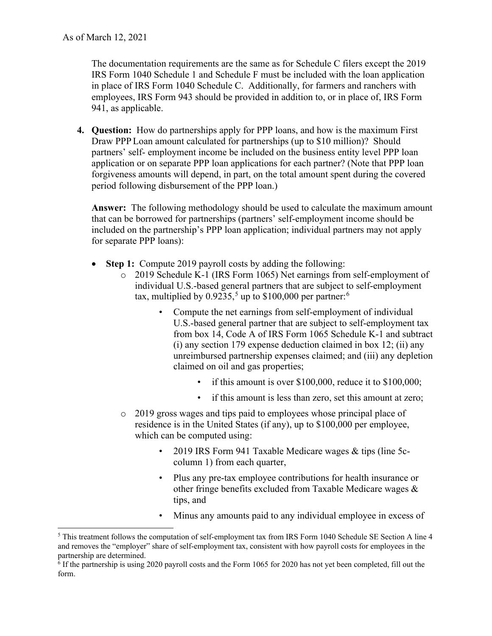The documentation requirements are the same as for Schedule C filers except the 2019 IRS Form 1040 Schedule 1 and Schedule F must be included with the loan application in place of IRS Form 1040 Schedule C. Additionally, for farmers and ranchers with employees, IRS Form 943 should be provided in addition to, or in place of, IRS Form 941, as applicable.

**4. Question:** How do partnerships apply for PPP loans, and how is the maximum First Draw PPP Loan amount calculated for partnerships (up to \$10 million)? Should partners' self- employment income be included on the business entity level PPP loan application or on separate PPP loan applications for each partner? (Note that PPP loan forgiveness amounts will depend, in part, on the total amount spent during the covered period following disbursement of the PPP loan.)

**Answer:** The following methodology should be used to calculate the maximum amount that can be borrowed for partnerships (partners' self-employment income should be included on the partnership's PPP loan application; individual partners may not apply for separate PPP loans):

- **Step 1:** Compute 2019 payroll costs by adding the following:
	- o 2019 Schedule K-1 (IRS Form 1065) Net earnings from self-employment of individual U.S.-based general partners that are subject to self-employment tax, multiplied by  $0.9235$ <sup>5</sup>, up to \$100,000 per partner:<sup>6</sup>
		- Compute the net earnings from self-employment of individual U.S.-based general partner that are subject to self-employment tax from box 14, Code A of IRS Form 1065 Schedule K-1 and subtract (i) any section 179 expense deduction claimed in box 12; (ii) any unreimbursed partnership expenses claimed; and (iii) any depletion claimed on oil and gas properties;
			- if this amount is over \$100,000, reduce it to \$100,000;
			- if this amount is less than zero, set this amount at zero;
	- o 2019 gross wages and tips paid to employees whose principal place of residence is in the United States (if any), up to \$100,000 per employee, which can be computed using:
		- 2019 IRS Form 941 Taxable Medicare wages & tips (line 5ccolumn 1) from each quarter,
		- Plus any pre-tax employee contributions for health insurance or other fringe benefits excluded from Taxable Medicare wages & tips, and
		- Minus any amounts paid to any individual employee in excess of

<sup>&</sup>lt;sup>5</sup> This treatment follows the computation of self-employment tax from IRS Form 1040 Schedule SE Section A line 4 and removes the "employer" share of self-employment tax, consistent with how payroll costs for employees in the partnership are determined.

 $6$  If the partnership is using 2020 payroll costs and the Form 1065 for 2020 has not yet been completed, fill out the form.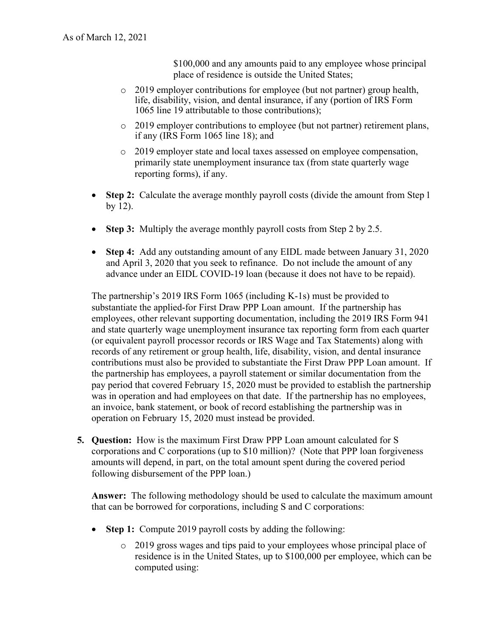\$100,000 and any amounts paid to any employee whose principal place of residence is outside the United States;

- o 2019 employer contributions for employee (but not partner) group health, life, disability, vision, and dental insurance, if any (portion of IRS Form 1065 line 19 attributable to those contributions);
- o 2019 employer contributions to employee (but not partner) retirement plans, if any (IRS Form 1065 line 18); and
- o 2019 employer state and local taxes assessed on employee compensation, primarily state unemployment insurance tax (from state quarterly wage reporting forms), if any.
- **Step 2:** Calculate the average monthly payroll costs (divide the amount from Step 1) by 12).
- **Step 3:** Multiply the average monthly payroll costs from Step 2 by 2.5.
- **Step 4:** Add any outstanding amount of any EIDL made between January 31, 2020 and April 3, 2020 that you seek to refinance. Do not include the amount of any advance under an EIDL COVID-19 loan (because it does not have to be repaid).

The partnership's 2019 IRS Form 1065 (including K-1s) must be provided to substantiate the applied-for First Draw PPP Loan amount. If the partnership has employees, other relevant supporting documentation, including the 2019 IRS Form 941 and state quarterly wage unemployment insurance tax reporting form from each quarter (or equivalent payroll processor records or IRS Wage and Tax Statements) along with records of any retirement or group health, life, disability, vision, and dental insurance contributions must also be provided to substantiate the First Draw PPP Loan amount. If the partnership has employees, a payroll statement or similar documentation from the pay period that covered February 15, 2020 must be provided to establish the partnership was in operation and had employees on that date. If the partnership has no employees, an invoice, bank statement, or book of record establishing the partnership was in operation on February 15, 2020 must instead be provided.

**5. Question:** How is the maximum First Draw PPP Loan amount calculated for S corporations and C corporations (up to \$10 million)? (Note that PPP loan forgiveness amounts will depend, in part, on the total amount spent during the covered period following disbursement of the PPP loan.)

**Answer:** The following methodology should be used to calculate the maximum amount that can be borrowed for corporations, including S and C corporations:

- **Step 1:** Compute 2019 payroll costs by adding the following:
	- o 2019 gross wages and tips paid to your employees whose principal place of residence is in the United States, up to \$100,000 per employee, which can be computed using: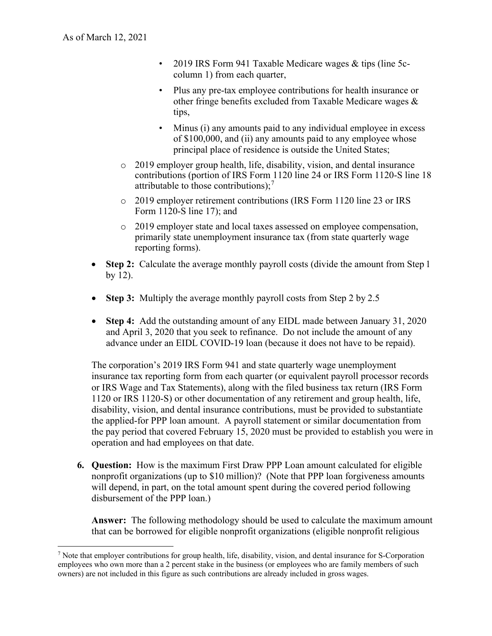- 2019 IRS Form 941 Taxable Medicare wages & tips (line 5ccolumn 1) from each quarter,
- Plus any pre-tax employee contributions for health insurance or other fringe benefits excluded from Taxable Medicare wages & tips,
- Minus (i) any amounts paid to any individual employee in excess of \$100,000, and (ii) any amounts paid to any employee whose principal place of residence is outside the United States;
- o 2019 employer group health, life, disability, vision, and dental insurance contributions (portion of IRS Form 1120 line 24 or IRS Form 1120-S line 18 attributable to those contributions); $^7$
- o 2019 employer retirement contributions (IRS Form 1120 line 23 or IRS Form 1120-S line 17); and
- o 2019 employer state and local taxes assessed on employee compensation, primarily state unemployment insurance tax (from state quarterly wage reporting forms).
- **Step 2:** Calculate the average monthly payroll costs (divide the amount from Step 1) by 12).
- **Step 3:** Multiply the average monthly payroll costs from Step 2 by 2.5
- **Step 4:** Add the outstanding amount of any EIDL made between January 31, 2020 and April 3, 2020 that you seek to refinance. Do not include the amount of any advance under an EIDL COVID-19 loan (because it does not have to be repaid).

The corporation's 2019 IRS Form 941 and state quarterly wage unemployment insurance tax reporting form from each quarter (or equivalent payroll processor records or IRS Wage and Tax Statements), along with the filed business tax return (IRS Form 1120 or IRS 1120-S) or other documentation of any retirement and group health, life, disability, vision, and dental insurance contributions, must be provided to substantiate the applied-for PPP loan amount. A payroll statement or similar documentation from the pay period that covered February 15, 2020 must be provided to establish you were in operation and had employees on that date.

**6. Question:** How is the maximum First Draw PPP Loan amount calculated for eligible nonprofit organizations (up to \$10 million)? (Note that PPP loan forgiveness amounts will depend, in part, on the total amount spent during the covered period following disbursement of the PPP loan.)

**Answer:** The following methodology should be used to calculate the maximum amount that can be borrowed for eligible nonprofit organizations (eligible nonprofit religious

<sup>7</sup> Note that employer contributions for group health, life, disability, vision, and dental insurance for S-Corporation employees who own more than a 2 percent stake in the business (or employees who are family members of such owners) are not included in this figure as such contributions are already included in gross wages.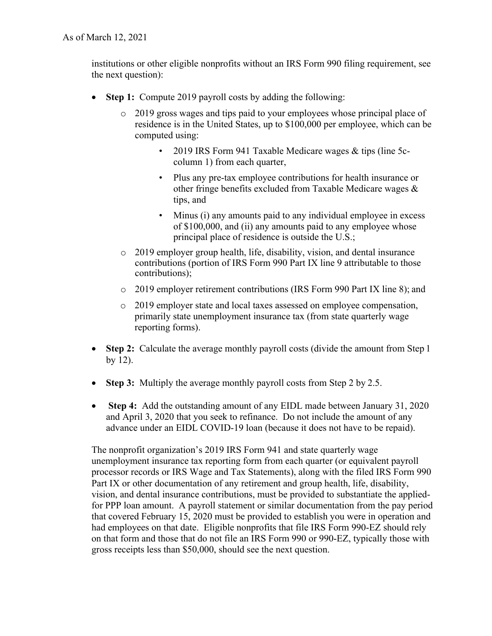institutions or other eligible nonprofits without an IRS Form 990 filing requirement, see the next question):

- **Step 1:** Compute 2019 payroll costs by adding the following:
	- o 2019 gross wages and tips paid to your employees whose principal place of residence is in the United States, up to \$100,000 per employee, which can be computed using:
		- 2019 IRS Form 941 Taxable Medicare wages & tips (line 5ccolumn 1) from each quarter,
		- Plus any pre-tax employee contributions for health insurance or other fringe benefits excluded from Taxable Medicare wages & tips, and
		- Minus (i) any amounts paid to any individual employee in excess of \$100,000, and (ii) any amounts paid to any employee whose principal place of residence is outside the U.S.;
	- o 2019 employer group health, life, disability, vision, and dental insurance contributions (portion of IRS Form 990 Part IX line 9 attributable to those contributions);
	- o 2019 employer retirement contributions (IRS Form 990 Part IX line 8); and
	- o 2019 employer state and local taxes assessed on employee compensation, primarily state unemployment insurance tax (from state quarterly wage reporting forms).
- **Step 2:** Calculate the average monthly payroll costs (divide the amount from Step 1) by 12).
- **Step 3:** Multiply the average monthly payroll costs from Step 2 by 2.5.
- **Step 4:** Add the outstanding amount of any EIDL made between January 31, 2020 and April 3, 2020 that you seek to refinance. Do not include the amount of any advance under an EIDL COVID-19 loan (because it does not have to be repaid).

The nonprofit organization's 2019 IRS Form 941 and state quarterly wage unemployment insurance tax reporting form from each quarter (or equivalent payroll processor records or IRS Wage and Tax Statements), along with the filed IRS Form 990 Part IX or other documentation of any retirement and group health, life, disability, vision, and dental insurance contributions, must be provided to substantiate the appliedfor PPP loan amount. A payroll statement or similar documentation from the pay period that covered February 15, 2020 must be provided to establish you were in operation and had employees on that date. Eligible nonprofits that file IRS Form 990-EZ should rely on that form and those that do not file an IRS Form 990 or 990-EZ, typically those with gross receipts less than \$50,000, should see the next question.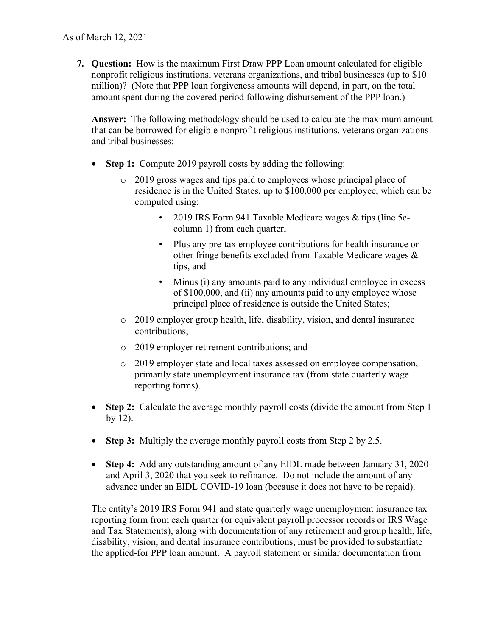**7. Question:** How is the maximum First Draw PPP Loan amount calculated for eligible nonprofit religious institutions, veterans organizations, and tribal businesses (up to \$10 million)? (Note that PPP loan forgiveness amounts will depend, in part, on the total amount spent during the covered period following disbursement of the PPP loan.)

**Answer:** The following methodology should be used to calculate the maximum amount that can be borrowed for eligible nonprofit religious institutions, veterans organizations and tribal businesses:

- **Step 1:** Compute 2019 payroll costs by adding the following:
	- o 2019 gross wages and tips paid to employees whose principal place of residence is in the United States, up to \$100,000 per employee, which can be computed using:
		- 2019 IRS Form 941 Taxable Medicare wages & tips (line 5ccolumn 1) from each quarter,
		- Plus any pre-tax employee contributions for health insurance or other fringe benefits excluded from Taxable Medicare wages & tips, and
		- Minus (i) any amounts paid to any individual employee in excess of \$100,000, and (ii) any amounts paid to any employee whose principal place of residence is outside the United States;
	- o 2019 employer group health, life, disability, vision, and dental insurance contributions;
	- o 2019 employer retirement contributions; and
	- o 2019 employer state and local taxes assessed on employee compensation, primarily state unemployment insurance tax (from state quarterly wage reporting forms).
- **Step 2:** Calculate the average monthly payroll costs (divide the amount from Step 1) by 12).
- **Step 3:** Multiply the average monthly payroll costs from Step 2 by 2.5.
- **Step 4:** Add any outstanding amount of any EIDL made between January 31, 2020 and April 3, 2020 that you seek to refinance. Do not include the amount of any advance under an EIDL COVID-19 loan (because it does not have to be repaid).

The entity's 2019 IRS Form 941 and state quarterly wage unemployment insurance tax reporting form from each quarter (or equivalent payroll processor records or IRS Wage and Tax Statements), along with documentation of any retirement and group health, life, disability, vision, and dental insurance contributions, must be provided to substantiate the applied-for PPP loan amount. A payroll statement or similar documentation from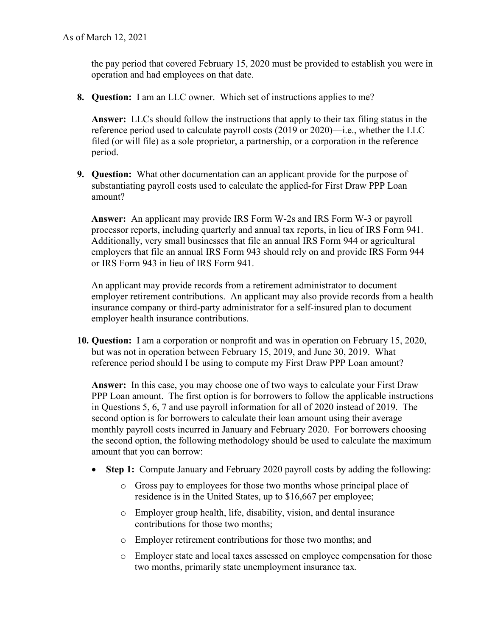the pay period that covered February 15, 2020 must be provided to establish you were in operation and had employees on that date.

**8. Question:** I am an LLC owner. Which set of instructions applies to me?

**Answer:** LLCs should follow the instructions that apply to their tax filing status in the reference period used to calculate payroll costs (2019 or 2020)—i.e., whether the LLC filed (or will file) as a sole proprietor, a partnership, or a corporation in the reference period.

**9. Question:** What other documentation can an applicant provide for the purpose of substantiating payroll costs used to calculate the applied-for First Draw PPP Loan amount?

**Answer:** An applicant may provide IRS Form W-2s and IRS Form W-3 or payroll processor reports, including quarterly and annual tax reports, in lieu of IRS Form 941. Additionally, very small businesses that file an annual IRS Form 944 or agricultural employers that file an annual IRS Form 943 should rely on and provide IRS Form 944 or IRS Form 943 in lieu of IRS Form 941.

An applicant may provide records from a retirement administrator to document employer retirement contributions. An applicant may also provide records from a health insurance company or third-party administrator for a self-insured plan to document employer health insurance contributions.

**10. Question:** I am a corporation or nonprofit and was in operation on February 15, 2020, but was not in operation between February 15, 2019, and June 30, 2019. What reference period should I be using to compute my First Draw PPP Loan amount?

**Answer:** In this case, you may choose one of two ways to calculate your First Draw PPP Loan amount. The first option is for borrowers to follow the applicable instructions in Questions 5, 6, 7 and use payroll information for all of 2020 instead of 2019. The second option is for borrowers to calculate their loan amount using their average monthly payroll costs incurred in January and February 2020. For borrowers choosing the second option, the following methodology should be used to calculate the maximum amount that you can borrow:

- **Step 1:** Compute January and February 2020 payroll costs by adding the following:
	- o Gross pay to employees for those two months whose principal place of residence is in the United States, up to \$16,667 per employee;
	- o Employer group health, life, disability, vision, and dental insurance contributions for those two months;
	- o Employer retirement contributions for those two months; and
	- o Employer state and local taxes assessed on employee compensation for those two months, primarily state unemployment insurance tax.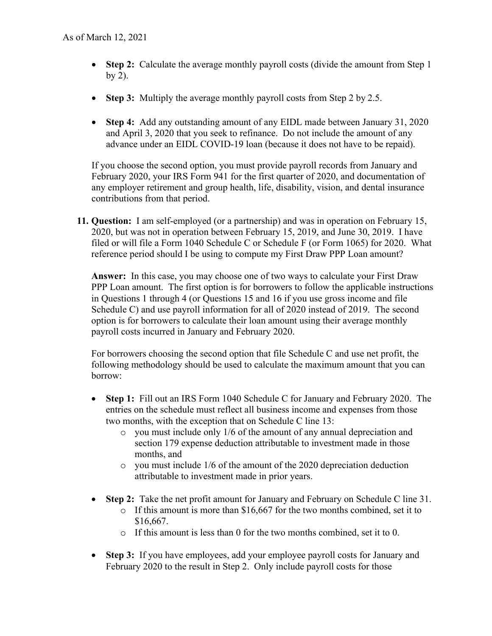- **Step 2:** Calculate the average monthly payroll costs (divide the amount from Step 1) by 2).
- **Step 3:** Multiply the average monthly payroll costs from Step 2 by 2.5.
- **Step 4:** Add any outstanding amount of any EIDL made between January 31, 2020 and April 3, 2020 that you seek to refinance. Do not include the amount of any advance under an EIDL COVID-19 loan (because it does not have to be repaid).

If you choose the second option, you must provide payroll records from January and February 2020, your IRS Form 941 for the first quarter of 2020, and documentation of any employer retirement and group health, life, disability, vision, and dental insurance contributions from that period.

**11. Question:** I am self-employed (or a partnership) and was in operation on February 15, 2020, but was not in operation between February 15, 2019, and June 30, 2019. I have filed or will file a Form 1040 Schedule C or Schedule F (or Form 1065) for 2020. What reference period should I be using to compute my First Draw PPP Loan amount?

**Answer:** In this case, you may choose one of two ways to calculate your First Draw PPP Loan amount. The first option is for borrowers to follow the applicable instructions in Questions 1 through 4 (or Questions 15 and 16 if you use gross income and file Schedule C) and use payroll information for all of 2020 instead of 2019. The second option is for borrowers to calculate their loan amount using their average monthly payroll costs incurred in January and February 2020.

For borrowers choosing the second option that file Schedule C and use net profit, the following methodology should be used to calculate the maximum amount that you can borrow:

- **Step 1:** Fill out an IRS Form 1040 Schedule C for January and February 2020. The entries on the schedule must reflect all business income and expenses from those two months, with the exception that on Schedule C line 13:
	- o you must include only 1/6 of the amount of any annual depreciation and section 179 expense deduction attributable to investment made in those months, and
	- o you must include 1/6 of the amount of the 2020 depreciation deduction attributable to investment made in prior years.
- **Step 2:** Take the net profit amount for January and February on Schedule C line 31.
	- $\circ$  If this amount is more than \$16,667 for the two months combined, set it to \$16,667.
	- o If this amount is less than 0 for the two months combined, set it to 0.
- **Step 3:** If you have employees, add your employee payroll costs for January and February 2020 to the result in Step 2. Only include payroll costs for those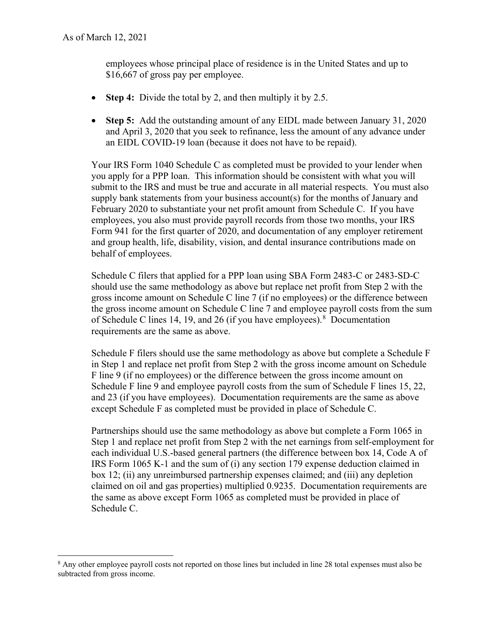employees whose principal place of residence is in the United States and up to \$16,667 of gross pay per employee.

- **Step 4:** Divide the total by 2, and then multiply it by 2.5.
- **Step 5:** Add the outstanding amount of any EIDL made between January 31, 2020 and April 3, 2020 that you seek to refinance, less the amount of any advance under an EIDL COVID-19 loan (because it does not have to be repaid).

Your IRS Form 1040 Schedule C as completed must be provided to your lender when you apply for a PPP loan. This information should be consistent with what you will submit to the IRS and must be true and accurate in all material respects. You must also supply bank statements from your business account(s) for the months of January and February 2020 to substantiate your net profit amount from Schedule C. If you have employees, you also must provide payroll records from those two months, your IRS Form 941 for the first quarter of 2020, and documentation of any employer retirement and group health, life, disability, vision, and dental insurance contributions made on behalf of employees.

Schedule C filers that applied for a PPP loan using SBA Form 2483-C or 2483-SD-C should use the same methodology as above but replace net profit from Step 2 with the gross income amount on Schedule C line 7 (if no employees) or the difference between the gross income amount on Schedule C line 7 and employee payroll costs from the sum of Schedule C lines 14, 19, and 26 (if you have employees). <sup>8</sup> Documentation requirements are the same as above.

Schedule F filers should use the same methodology as above but complete a Schedule F in Step 1 and replace net profit from Step 2 with the gross income amount on Schedule F line 9 (if no employees) or the difference between the gross income amount on Schedule F line 9 and employee payroll costs from the sum of Schedule F lines 15, 22, and 23 (if you have employees). Documentation requirements are the same as above except Schedule F as completed must be provided in place of Schedule C.

Partnerships should use the same methodology as above but complete a Form 1065 in Step 1 and replace net profit from Step 2 with the net earnings from self-employment for each individual U.S.-based general partners (the difference between box 14, Code A of IRS Form 1065 K-1 and the sum of (i) any section 179 expense deduction claimed in box 12; (ii) any unreimbursed partnership expenses claimed; and (iii) any depletion claimed on oil and gas properties) multiplied 0.9235. Documentation requirements are the same as above except Form 1065 as completed must be provided in place of Schedule C.

<sup>&</sup>lt;sup>8</sup> Any other employee payroll costs not reported on those lines but included in line 28 total expenses must also be subtracted from gross income.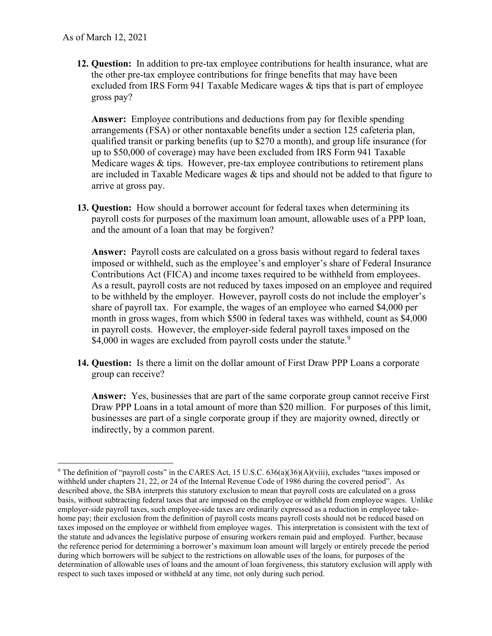**12. Question:** In addition to pre-tax employee contributions for health insurance, what are the other pre-tax employee contributions for fringe benefits that may have been excluded from IRS Form 941 Taxable Medicare wages & tips that is part of employee gross pay?

**Answer:** Employee contributions and deductions from pay for flexible spending arrangements (FSA) or other nontaxable benefits under a section 125 cafeteria plan, qualified transit or parking benefits (up to \$270 a month), and group life insurance (for up to \$50,000 of coverage) may have been excluded from IRS Form 941 Taxable Medicare wages & tips. However, pre-tax employee contributions to retirement plans are included in Taxable Medicare wages & tips and should not be added to that figure to arrive at gross pay.

**13. Question:** How should a borrower account for federal taxes when determining its payroll costs for purposes of the maximum loan amount, allowable uses of a PPP loan, and the amount of a loan that may be forgiven?

**Answer:** Payroll costs are calculated on a gross basis without regard to federal taxes imposed or withheld, such as the employee's and employer's share of Federal Insurance Contributions Act (FICA) and income taxes required to be withheld from employees. As a result, payroll costs are not reduced by taxes imposed on an employee and required to be withheld by the employer. However, payroll costs do not include the employer's share of payroll tax. For example, the wages of an employee who earned \$4,000 per month in gross wages, from which \$500 in federal taxes was withheld, count as \$4,000 in payroll costs. However, the employer-side federal payroll taxes imposed on the \$4,000 in wages are excluded from payroll costs under the statute.<sup>9</sup>

**14. Question:** Is there a limit on the dollar amount of First Draw PPP Loans a corporate group can receive?

**Answer:** Yes, businesses that are part of the same corporate group cannot receive First Draw PPP Loans in a total amount of more than \$20 million. For purposes of this limit, businesses are part of a single corporate group if they are majority owned, directly or indirectly, by a common parent.

<sup>&</sup>lt;sup>9</sup> The definition of "payroll costs" in the CARES Act, 15 U.S.C.  $636(a)(36)(A)(viii)$ , excludes "taxes imposed or withheld under chapters 21, 22, or 24 of the Internal Revenue Code of 1986 during the covered period". As described above, the SBA interprets this statutory exclusion to mean that payroll costs are calculated on a gross basis, without subtracting federal taxes that are imposed on the employee or withheld from employee wages. Unlike employer-side payroll taxes, such employee-side taxes are ordinarily expressed as a reduction in employee takehome pay; their exclusion from the definition of payroll costs means payroll costs should not be reduced based on taxes imposed on the employee or withheld from employee wages. This interpretation is consistent with the text of the statute and advances the legislative purpose of ensuring workers remain paid and employed. Further, because the reference period for determining a borrower's maximum loan amount will largely or entirely precede the period during which borrowers will be subject to the restrictions on allowable uses of the loans, for purposes of the determination of allowable uses of loans and the amount of loan forgiveness, this statutory exclusion will apply with respect to such taxes imposed or withheld at any time, not only during such period.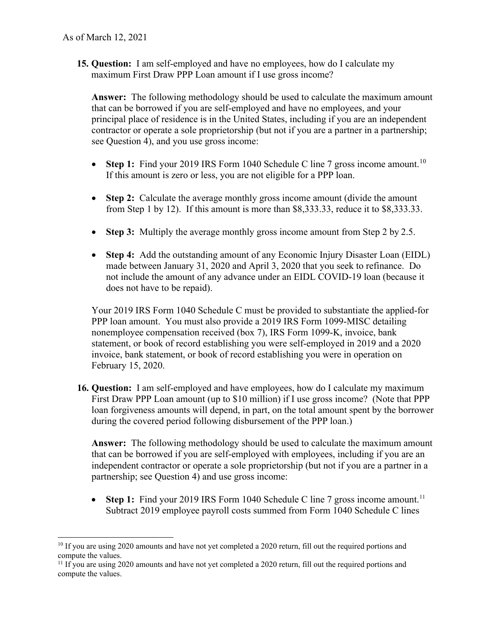**15. Question:** I am self-employed and have no employees, how do I calculate my maximum First Draw PPP Loan amount if I use gross income?

 **Answer:** The following methodology should be used to calculate the maximum amount principal place of residence is in the United States, including if you are an independent contractor or operate a sole proprietorship (but not if you are a partner in a partnership; that can be borrowed if you are self-employed and have no employees, and your see Question 4), and you use gross income:

- **Step 1:** Find your 2019 IRS Form 1040 Schedule C line 7 gross income amount.<sup>10</sup> If this amount is zero or less, you are not eligible for a PPP loan.
- **Step 2:** Calculate the average monthly gross income amount (divide the amount from Step 1 by 12). If this amount is more than \$8,333.33, reduce it to \$8,333.33.
- **Step 3:** Multiply the average monthly gross income amount from Step 2 by 2.5.
- **Step 4:** Add the outstanding amount of any Economic Injury Disaster Loan (EIDL) made between January 31, 2020 and April 3, 2020 that you seek to refinance. Do not include the amount of any advance under an EIDL COVID-19 loan (because it does not have to be repaid).

Your 2019 IRS Form 1040 Schedule C must be provided to substantiate the applied-for PPP loan amount. You must also provide a 2019 IRS Form 1099-MISC detailing nonemployee compensation received (box 7), IRS Form 1099-K, invoice, bank statement, or book of record establishing you were self-employed in 2019 and a 2020 invoice, bank statement, or book of record establishing you were in operation on February 15, 2020.

 during the covered period following disbursement of the PPP loan.) **16. Question:** I am self-employed and have employees, how do I calculate my maximum First Draw PPP Loan amount (up to \$10 million) if I use gross income? (Note that PPP loan forgiveness amounts will depend, in part, on the total amount spent by the borrower

 **Answer:** The following methodology should be used to calculate the maximum amount that can be borrowed if you are self-employed with employees, including if you are an independent contractor or operate a sole proprietorship (but not if you are a partner in a partnership; see Question 4) and use gross income:

• **Step 1:** Find your 2019 IRS Form 1040 Schedule C line 7 gross income amount.<sup>11</sup> Subtract 2019 employee payroll costs summed from Form 1040 Schedule C lines

<sup>&</sup>lt;sup>10</sup> If you are using 2020 amounts and have not yet completed a 2020 return, fill out the required portions and compute the values.

<sup>&</sup>lt;sup>11</sup> If you are using 2020 amounts and have not yet completed a 2020 return, fill out the required portions and compute the values.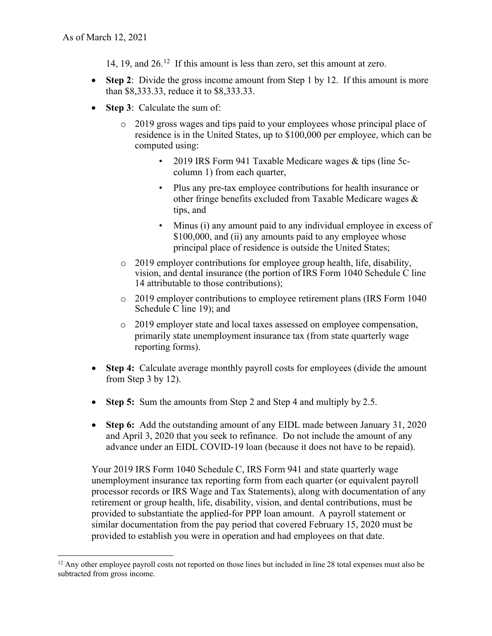- 14, 19, and 26.<sup>12</sup> If this amount is less than zero, set this amount at zero.
- • **Step 2**: Divide the gross income amount from Step 1 by 12. If this amount is more than \$8,333.33, reduce it to \$8,333.33.
- • **Step 3**: Calculate the sum of:
	- o 2019 gross wages and tips paid to your employees whose principal place of residence is in the United States, up to \$100,000 per employee, which can be computed using:
		- 2019 IRS Form 941 Taxable Medicare wages & tips (line 5ccolumn 1) from each quarter,
		- • Plus any pre-tax employee contributions for health insurance or other fringe benefits excluded from Taxable Medicare wages & tips, and
		- Minus (i) any amount paid to any individual employee in excess of \$100,000, and (ii) any amounts paid to any employee whose principal place of residence is outside the United States;
	- o 2019 employer contributions for employee group health, life, disability, vision, and dental insurance (the portion of IRS Form 1040 Schedule C line 14 attributable to those contributions);
	- o 2019 employer contributions to employee retirement plans (IRS Form 1040 Schedule C line 19); and
	- o 2019 employer state and local taxes assessed on employee compensation, primarily state unemployment insurance tax (from state quarterly wage reporting forms).
- **Step 4:** Calculate average monthly payroll costs for employees (divide the amount from Step 3 by 12).
- **Step 5:** Sum the amounts from Step 2 and Step 4 and multiply by 2.5.
- advance under an EIDL COVID-19 loan (because it does not have to be repaid). • **Step 6:** Add the outstanding amount of any EIDL made between January 31, 2020 and April 3, 2020 that you seek to refinance. Do not include the amount of any

Your 2019 IRS Form 1040 Schedule C, IRS Form 941 and state quarterly wage unemployment insurance tax reporting form from each quarter (or equivalent payroll processor records or IRS Wage and Tax Statements), along with documentation of any retirement or group health, life, disability, vision, and dental contributions, must be provided to substantiate the applied-for PPP loan amount. A payroll statement or similar documentation from the pay period that covered February 15, 2020 must be provided to establish you were in operation and had employees on that date.

 $12$  Any other employee payroll costs not reported on those lines but included in line 28 total expenses must also be subtracted from gross income.